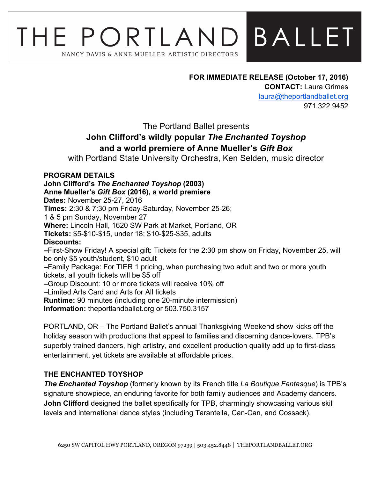# **BALLET** THE PORTLAND NANCY DAVIS & ANNE MUELLER ARTISTIC DIRECTORS

**FOR IMMEDIATE RELEASE (October 17, 2016) CONTACT:** Laura Grimes laura@theportlandballet.org 971.322.9452

The Portland Ballet presents

# **John Clifford's wildly popular** *The Enchanted Toyshop* **and a world premiere of Anne Mueller's** *Gift Box*

with Portland State University Orchestra, Ken Selden, music director

# **PROGRAM DETAILS**

**John Clifford's** *The Enchanted Toyshop* **(2003) Anne Mueller's** *Gift Box* **(2016), a world premiere Dates:** November 25-27, 2016 **Times:** 2:30 & 7:30 pm Friday-Saturday, November 25-26; 1 & 5 pm Sunday, November 27 **Where:** Lincoln Hall, 1620 SW Park at Market, Portland, OR **Tickets:** \$5-\$10-\$15, under 18; \$10-\$25-\$35, adults **Discounts: –**First-Show Friday! A special gift: Tickets for the 2:30 pm show on Friday, November 25, will be only \$5 youth/student, \$10 adult –Family Package: For TIER 1 pricing, when purchasing two adult and two or more youth tickets, all youth tickets will be \$5 off –Group Discount: 10 or more tickets will receive 10% off –Limited Arts Card and Arts for All tickets **Runtime:** 90 minutes (including one 20-minute intermission) **Information:** theportlandballet.org or 503.750.3157

PORTLAND, OR – The Portland Ballet's annual Thanksgiving Weekend show kicks off the holiday season with productions that appeal to families and discerning dance-lovers. TPB's superbly trained dancers, high artistry, and excellent production quality add up to first-class entertainment, yet tickets are available at affordable prices.

# **THE ENCHANTED TOYSHOP**

*The Enchanted Toyshop* (formerly known by its French title *La Boutique Fantasque*) is TPB's signature showpiece, an enduring favorite for both family audiences and Academy dancers. **John Clifford** designed the ballet specifically for TPB, charmingly showcasing various skill levels and international dance styles (including Tarantella, Can-Can, and Cossack).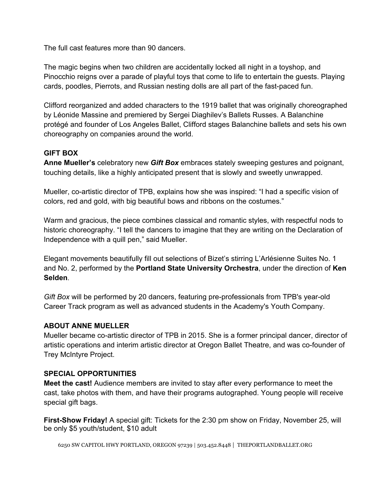The full cast features more than 90 dancers.

The magic begins when two children are accidentally locked all night in a toyshop, and Pinocchio reigns over a parade of playful toys that come to life to entertain the guests. Playing cards, poodles, Pierrots, and Russian nesting dolls are all part of the fast-paced fun.

Clifford reorganized and added characters to the 1919 ballet that was originally choreographed by Léonide Massine and premiered by Sergei Diaghilev's Ballets Russes. A Balanchine protégé and founder of Los Angeles Ballet, Clifford stages Balanchine ballets and sets his own choreography on companies around the world.

# **GIFT BOX**

**Anne Mueller's** celebratory new *Gift Box* embraces stately sweeping gestures and poignant, touching details, like a highly anticipated present that is slowly and sweetly unwrapped.

Mueller, co-artistic director of TPB, explains how she was inspired: "I had a specific vision of colors, red and gold, with big beautiful bows and ribbons on the costumes."

Warm and gracious, the piece combines classical and romantic styles, with respectful nods to historic choreography. "I tell the dancers to imagine that they are writing on the Declaration of Independence with a quill pen," said Mueller.

Elegant movements beautifully fill out selections of Bizet's stirring L'Arlésienne Suites No. 1 and No. 2, performed by the **Portland State University Orchestra**, under the direction of **Ken Selden**.

*Gift Box* will be performed by 20 dancers, featuring pre-professionals from TPB's year-old Career Track program as well as advanced students in the Academy's Youth Company.

# **ABOUT ANNE MUELLER**

Mueller became co-artistic director of TPB in 2015. She is a former principal dancer, director of artistic operations and interim artistic director at Oregon Ballet Theatre, and was co-founder of Trey McIntyre Project.

#### **SPECIAL OPPORTUNITIES**

**Meet the cast!** Audience members are invited to stay after every performance to meet the cast, take photos with them, and have their programs autographed. Young people will receive special gift bags.

**First-Show Friday!** A special gift: Tickets for the 2:30 pm show on Friday, November 25, will be only \$5 youth/student, \$10 adult